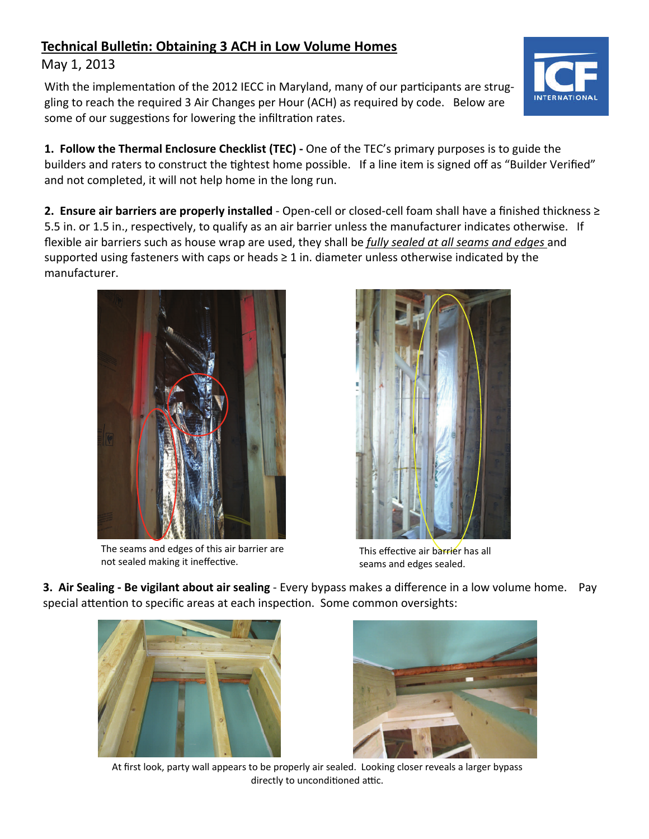## **Technical BulleƟn: Obtaining 3 ACH in Low Volume Homes**

## May 1, 2013

With the implementation of the 2012 IECC in Maryland, many of our participants are struggling to reach the required 3 Air Changes per Hour (ACH) as required by code. Below are some of our suggestions for lowering the infiltration rates.

**1. Follow the Thermal Enclosure Checklist (TEC) ‐** One of the TEC's primary purposes is to guide the builders and raters to construct the tightest home possible. If a line item is signed off as "Builder Verified" and not completed, it will not help home in the long run.

**2. Ensure air barriers are properly installed** - Open-cell or closed-cell foam shall have a finished thickness ≥ 5.5 in. or 1.5 in., respectively, to qualify as an air barrier unless the manufacturer indicates otherwise. If flexible air barriers such as house wrap are used, they shall be *fully sealed at all seams and edges* and supported using fasteners with caps or heads  $\geq 1$  in. diameter unless otherwise indicated by the manufacturer.

> The seams and edges of this air barrier are not sealed making it ineffective.

This effective air barrier has all seams and edges sealed.

**3. Air Sealing ‐ Be vigilant about air sealing** - Every bypass makes a difference in a low volume home. Pay special attention to specific areas at each inspection. Some common oversights:

At first look, party wall appears to be properly air sealed. Looking closer reveals a larger bypass directly to unconditioned attic.